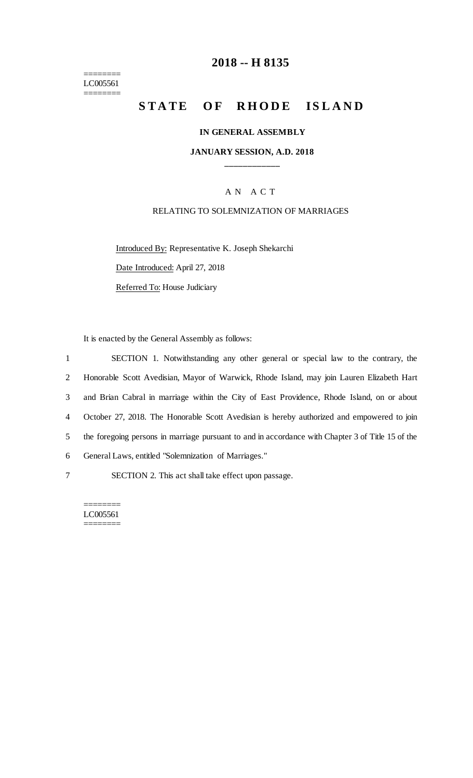======== LC005561 ========

## **2018 -- H 8135**

# STATE OF RHODE ISLAND

#### **IN GENERAL ASSEMBLY**

#### **JANUARY SESSION, A.D. 2018 \_\_\_\_\_\_\_\_\_\_\_\_**

### A N A C T

#### RELATING TO SOLEMNIZATION OF MARRIAGES

Introduced By: Representative K. Joseph Shekarchi Date Introduced: April 27, 2018 Referred To: House Judiciary

It is enacted by the General Assembly as follows:

| $\mathbf{1}$ | SECTION 1. Notwithstanding any other general or special law to the contrary, the                  |
|--------------|---------------------------------------------------------------------------------------------------|
| 2            | Honorable Scott Avedisian, Mayor of Warwick, Rhode Island, may join Lauren Elizabeth Hart         |
| 3            | and Brian Cabral in marriage within the City of East Providence, Rhode Island, on or about        |
| 4            | October 27, 2018. The Honorable Scott Avedisian is hereby authorized and empowered to join        |
| 5            | the foregoing persons in marriage pursuant to and in accordance with Chapter 3 of Title 15 of the |
| 6            | General Laws, entitled "Solemnization of Marriages."                                              |
| 7            | SECTION 2. This act shall take effect upon passage.                                               |

======== LC005561 ========